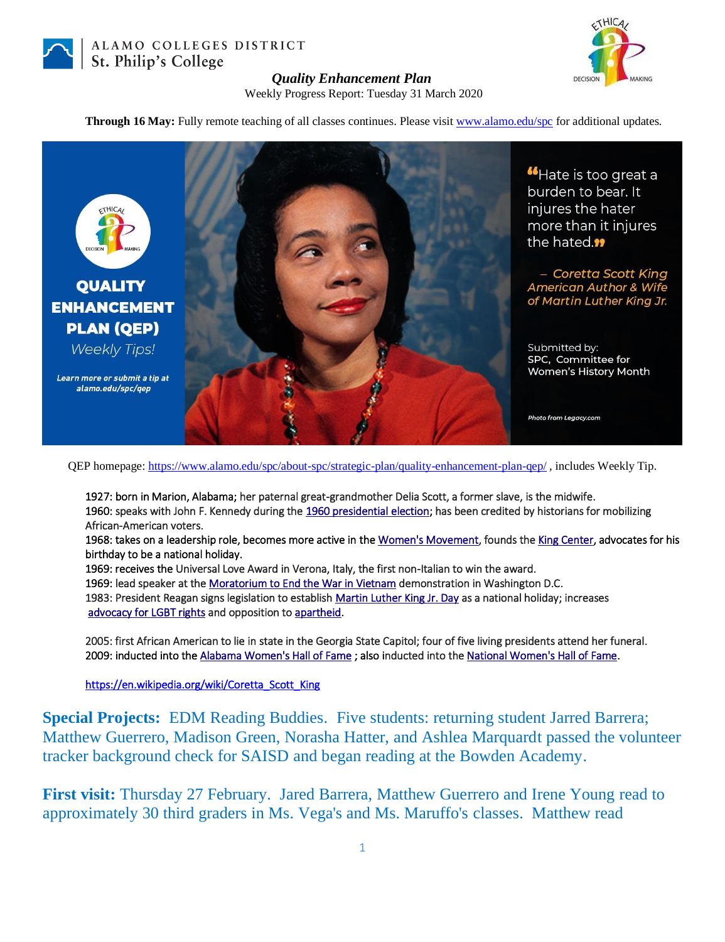

ALAMO COLLEGES DISTRICT St. Philip's College



## *Quality Enhancement Plan*

Weekly Progress Report: Tuesday 31 March 2020

**Through 16 May:** Fully remote teaching of all classes continues. Please visit [www.alamo.edu/spc](https://mail.alamo.edu/owa/redir.aspx?C=0RYlCqievwdtcsDmAA0Mm2kYSEKf2q5gGF1os6MJA2nvyBDS0szXCA..&URL=http%3a%2f%2fwww.alamo.edu%2fspc) for additional updates.



"Hate is too great a burden to bear. It injures the hater more than it injures the hated.<sup>99</sup>

- Coretta Scott King **American Author & Wife** of Martin Luther King Jr.

Submitted by: SPC, Committee for Women's History Month

Photo from Legacy.com

QEP homepage:<https://www.alamo.edu/spc/about-spc/strategic-plan/quality-enhancement-plan-qep/> , includes Weekly Tip.

1927: born in Marion, Alabama; her paternal great-grandmother Delia Scott, a former slave, is the midwife. 1960: speaks with John F. Kennedy during the [1960 presidential election;](https://en.wikipedia.org/wiki/1960_United_States_presidential_election) has been credited by historians for mobilizing African-American voters.

1968: takes on a leadership role, becomes more active in th[e Women's Movement,](https://en.wikipedia.org/wiki/Second-wave_feminism) founds th[e King Center,](https://en.wikipedia.org/wiki/King_Center_for_Nonviolent_Social_Change) advocates for his birthday to be a national holiday.

1969: receives the Universal Love Award in Verona, Italy, the first non-Italian to win the award.

1969: lead speaker at th[e Moratorium to End the War in Vietnam d](https://en.wikipedia.org/wiki/Moratorium_to_End_the_War_in_Vietnam)emonstration in Washington D.C.

1983: President Reagan signs legislation to establish [Martin Luther King Jr. Day a](https://en.wikipedia.org/wiki/Martin_Luther_King_Jr._Day)s a national holiday; increases  [advocacy for LGBT rights a](https://en.wikipedia.org/wiki/LGBT_rights_in_the_United_States)nd opposition to [apartheid.](https://en.wikipedia.org/wiki/Apartheid)

2005: first African American to lie in state in the Georgia State Capitol; four of five living presidents attend her funeral. 2009: inducted into the [Alabama Women's Hall of Fame](https://en.wikipedia.org/wiki/Alabama_Women%27s_Hall_of_Fame) ; also inducted into the [National Women's Hall of Fame.](https://en.wikipedia.org/wiki/National_Women%27s_Hall_of_Fame)

[https://en.wikipedia.org/wiki/Coretta\\_Scott\\_King](https://en.wikipedia.org/wiki/Coretta_Scott_King)

**Special Projects:** EDM Reading Buddies. Five students: returning student Jarred Barrera; Matthew Guerrero, Madison Green, Norasha Hatter, and Ashlea Marquardt passed the volunteer tracker background check for SAISD and began reading at the Bowden Academy.

**First visit:** Thursday 27 February. Jared Barrera, Matthew Guerrero and Irene Young read to approximately 30 third graders in Ms. Vega's and Ms. Maruffo's classes. Matthew read